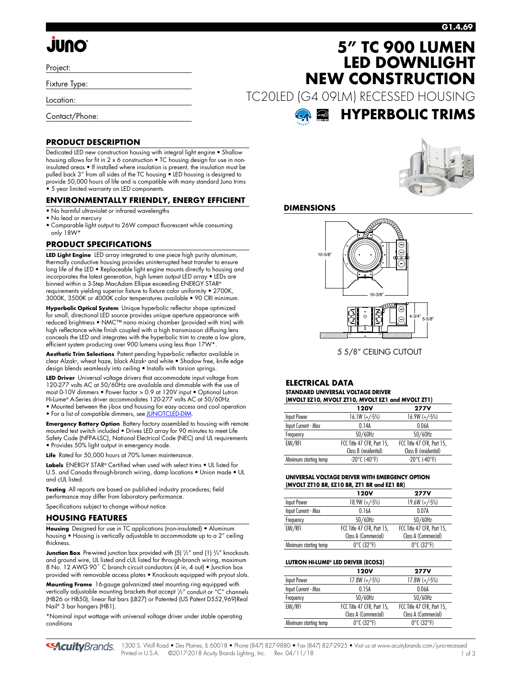# **G1.4.69**

# **JUNO**

Project:

Fixture Type:

Location:

Contact/Phone:

# **PRODUCT DESCRIPTION**

Dedicated LED new construction housing with integral light engine • Shallow housing allows for fit in 2 x 6 construction • TC housing design for use in noninsulated areas • If installed where insulation is present, the insulation must be pulled back 3" from all sides of the TC housing • LED housing is designed to provide 50,000 hours of life and is compatible with many standard Juno trims • 5 year limited warranty on LED components.

## **ENVIRONMENTALLY FRIENDLY, ENERGY EFFICIENT**

- No harmful ultraviolet or infrared wavelengths
- No lead or mercury
- Comparable light output to 26W compact fluorescent while consuming only 18W\*

## **PRODUCT SPECIFICATIONS**

**LED Light Engine** LED array integrated to one piece high purity aluminum, thermally conductive housing provides uninterrupted heat transfer to ensure long life of the LED • Replaceable light engine mounts directly to housing and incorporates the latest generation, high lumen output LED array • LEDs are binned within a 3-Step MacAdam Ellipse exceeding ENERGY STAR® requirements yielding superior fixture to fixture color uniformity • 2700K, 3000K, 3500K or 4000K color temperatures available • 90 CRI minimum.

**Hyperbolic Optical System** Unique hyperbolic reflector shape optimized for small, directional LED source provides unique aperture appearance with reduced brightness • NMC™ nano mixing chamber (provided with trim) with high reflectance white finish coupled with a high transmission diffusing lens conceals the LED and integrates with the hyperbolic trim to create a low glare, efficient system producing over 900 lumens using less than 17W\*.

**Aesthetic Trim Selections** Patent pending hyperbolic reflector available in clear Alzak®, wheat haze, black Alzak® and white • Shadow free, knife edge design blends seamlessly into ceiling • Installs with torsion springs.

**LED Driver** Universal voltage drivers that accommodate input voltage from 120-277 volts AC at 50/60Hz are available and dimmable with the use of most 0-10V dimmers • Power factor > 0.9 at 120V input • Optional Lutron Hi-Lume® A-Series driver accommodates 120-277 volts AC at 50/60Hz

• Mounted between the j-box and housing for easy access and cool operation

• For a list of compatible dimmers, se[e JUNOTCLED-DIM.](http://www.acuitybrands.com/shell/-/media/Files/Acuity/Other/JUNOTCLED-DIM.pdf)

**Emergency Battery Option** Battery factory assembled to housing with remote mounted test switch included • Drives LED array for 90 minutes to meet Life Safety Code (NFPA-LSC), National Electrical Code (NEC) and UL requirements • Provides 50% light output in emergency mode.

**Life** Rated for 50,000 hours at 70% lumen maintenance.

**Labels** ENERGY STAR® Certified when used with select trims • UL listed for U.S. and Canada through-branch wiring, damp locations • Union made • UL and cUL listed.

**Testing** All reports are based on published industry procedures; field performance may differ from laboratory performance.

Specifications subject to change without notice.

### **HOUSING FEATURES**

**Housing** Designed for use in TC applications (non-insulated) • Aluminum housing • Housing is vertically adjustable to accommodate up to a 2" ceiling thickness.

**Junction Box** Pre-wired junction box provided with (5)  $\frac{1}{2}$ " and (1)  $\frac{3}{4}$ " knockouts and ground wire, UL listed and cUL listed for through-branch wiring, maximum 8 No. 12 AWG 90° C branch circuit conductors (4 in, 4 out) • Junction box provided with removable access plates • Knockouts equipped with pryout slots.

**Mounting Frame** 16-gauge galvanized steel mounting ring equipped with vertically adjustable mounting brackets that accept 1 /2" conduit or "C" channels (HB26 or HB50), linear flat bars (LB27) or Patented (US Patent D552,969)Real Nail® 3 bar hangers (HB1).

\*Nominal input wattage with universal voltage driver under stable operating conditions

**5" TC 900 LUMEN LED DOWNLIGHT NEW CONSTRUCTION**

TC20LED (G4 09LM) RECESSED HOUSING





## **DIMENSIONS**



5 5/8" CEILING CUTOUT

#### **ELECTRICAL DATA STANDARD UNIVERSAL VOLTAGE DRIVER (MVOLT EZ10, MVOLT ZT10, MVOLT EZ1 and MVOLT ZT1)**

| $(III)$ with the state $(0, III)$ in the state of the state $(III)$ |                            |  |  |  |  |  |
|---------------------------------------------------------------------|----------------------------|--|--|--|--|--|
| 120V                                                                | <b>277V</b>                |  |  |  |  |  |
| $16.1W (+/-5%)$                                                     | $16.9W (+/-5%)$            |  |  |  |  |  |
| 014A                                                                | 0.06A                      |  |  |  |  |  |
| 50/60Hz                                                             | 50/60Hz                    |  |  |  |  |  |
| FCC Title 47 CFR, Part 15,                                          | FCC Title 47 CFR, Part 15, |  |  |  |  |  |
| Class B (residential)                                               | Class B (residential)      |  |  |  |  |  |
| $-20^{\circ}$ C (-40°F)                                             | $-20^{\circ}$ C (-40°F)    |  |  |  |  |  |
|                                                                     |                            |  |  |  |  |  |

### **UNIVERSAL VOLTAGE DRIVER WITH EMERGENCY OPTION (MVOLT ZT10 BR, EZ10 BR, ZT1 BR and EZ1 BR)**

|                       | <b>120V</b>                     | <b>277V</b>                     |
|-----------------------|---------------------------------|---------------------------------|
| Input Power           | $18.9W (+/-5%)$                 | $19.6W (+/-5%)$                 |
| Input Current - Max   | 0.16A                           | 0.07A                           |
| Frequency             | 50/60Hz                         | 50/60Hz                         |
| EMI/RFI               | FCC Title 47 CFR, Part 15,      | FCC Title 47 CFR, Part 15,      |
|                       | Class A (Commercial)            | Class A (Commercial)            |
| Minimum starting temp | $0^{\circ}$ C (32 $^{\circ}$ F) | $0^{\circ}$ C (32 $^{\circ}$ F) |

### **LUTRON HI-LUME® LED DRIVER (ECOS3)**

|                       | 120V                            | <b>277V</b>                     |
|-----------------------|---------------------------------|---------------------------------|
| Input Power           | $17.8W (+/-5%)$                 | $17.8W (+/-5%)$                 |
| Input Current - Max   | 0.15A                           | 0.06A                           |
| Frequency             | 50/60Hz                         | 50/60Hz                         |
| EMI/RFI               | FCC Title 47 CFR, Part 15,      | FCC Title 47 CFR, Part 15,      |
|                       | Class A (Commercial)            | Class A (Commercial)            |
| Minimum starting temp | $0^{\circ}$ C (32 $^{\circ}$ F) | $0^{\circ}$ C (32 $^{\circ}$ F) |

**44 Cuity** Brands. 1300 S. Wolf Road • Des Plaines, IL 60018 • Phone (847) 827-9880 • Fax (847) 827-2925 • Visit us at [www.acuitybrands.com](http://www.junolightinggroup.com)/juno-recessed Printed in U.S.A. ©2017-2018 Acuity Brands Lighting, Inc. Rev. 04/11/18 1 of 3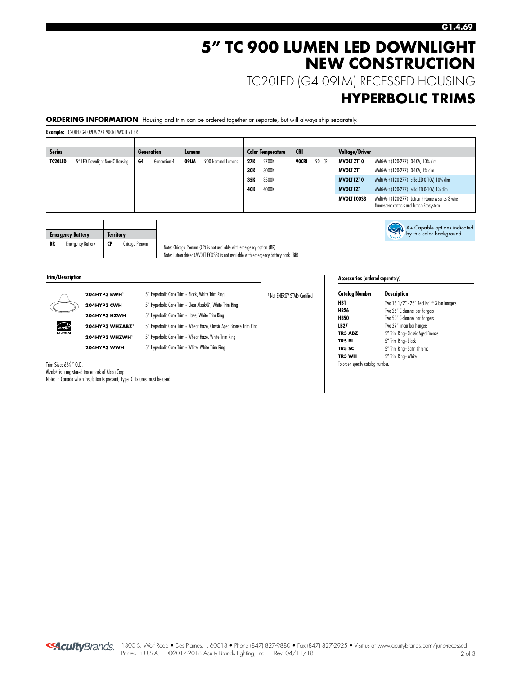# **5" TC 900 LUMEN LED DOWNLIGHT NEW CONSTRUCTION**

TC20LED (G4 09LM) RECESSED HOUSING

# **HYPERBOLIC TRIMS**

A+ Capable options indicated by this color background

**ORDERING INFORMATION** Housing and trim can be ordered together or separate, but will always ship separately.

**Example:** TC20LED G4 09LM 27K 90CRI MVOLT ZT BR

| <b>Series</b> |                                 |    | <b>Generation</b> | Lumens |                    |            | <b>Color Temperature</b> | <b>CRI</b> |          | <b>Voltage/Driver</b> |                                                                                                   |
|---------------|---------------------------------|----|-------------------|--------|--------------------|------------|--------------------------|------------|----------|-----------------------|---------------------------------------------------------------------------------------------------|
| TC20LED       | 5" LED Downlight Non-IC Housing | G4 | Generation 4      | 09LM   | 900 Nominal Lumens | 27K        | 2700K                    | 90CRI      | $90+CRI$ | MVOLT ZT10            | Multi-Volt (120-277), 0-10V, 10% dim                                                              |
|               |                                 |    |                   |        |                    | 30K        | 3000K                    |            |          | MVOLT ZTI             | Multi-Volt (120-277), 0-10V, 1% dim                                                               |
|               |                                 |    |                   |        |                    | 35K        | 3500K                    |            |          | <b>MVOLT EZ10</b>     | Multi-Volt (120-277), eldoLED 0-10V, 10% dim                                                      |
|               |                                 |    |                   |        |                    | <b>40K</b> | 4000K                    |            |          | <b>MVOLT EZ1</b>      | Multi-Volt (120-277), eldoLED 0-10V, 1% dim                                                       |
|               |                                 |    |                   |        |                    |            |                          |            |          | <b>MVOLT ECOS3</b>    | Multi-Volt (120-277), Lutron Hi-Lume A series 3 wire<br>fluorescent controls and Lutron Ecosystem |

<sup>1</sup> Not ENERGY STAR® Certified

|    | <b>Emergency Battery</b> | <b>Territory</b> |                |  |
|----|--------------------------|------------------|----------------|--|
| BR | <b>Emergency Battery</b> | <b>CP</b>        | Chicago Plenum |  |

Note: Chicago Plenum (CP) is not available with emergency option (BR) Note: Lutron driver (MVOLT ECOS3) is not available with emergency battery pack (BR)

**Trim/Description** 



204HYP3 BWH<sup>1</sup> 5" Hyperbolic Cone Trim - Black, White Trim Ring **204HYP3 CWH** 5" Hyperbolic Cone Trim **-** Clear Alzak®, White Trim Ring **204HYP3 HZWH** 5" Hyperbolic Cone Trim - Haze, White Trim Ring

**204HYP3 WHZABZ1** 5" Hyperbolic Cone Trim **-** Wheat Haze, Classic Aged Bronze Trim Ring

**204HYP3 WHZWH1** 5" Hyperbolic Cone Trim **-** Wheat Haze, White Trim Ring

**204HYP3 WWH** 5" Hyperbolic Cone Trim **-** White, White Trim Ring

### **Accessories** (ordered separately)

| <b>Catalog Number</b>             | <b>Description</b>                         |  |  |  |
|-----------------------------------|--------------------------------------------|--|--|--|
| HB 1                              | Two 13 1/2" - 25" Real Nail® 3 bar hangers |  |  |  |
| <b>HB26</b>                       | Two 26" C-channel bar hangers              |  |  |  |
| <b>HB50</b>                       | Two 50" C-channel bar hangers              |  |  |  |
| LB27                              | Two 27" linear bar hangers                 |  |  |  |
| <b>TR5 ABZ</b>                    | 5" Trim Ring - Classic Aged Bronze         |  |  |  |
| TR5 BL                            | 5" Trim Ring - Black                       |  |  |  |
| TR5 SC                            | 5" Trim Ring - Satin Chrome                |  |  |  |
| TR5 WH                            | 5" Trim Ring - White                       |  |  |  |
| To order, specify catalog number. |                                            |  |  |  |

Trim Size: 6<sup>1</sup> ⁄4" O.D. Alzak® is a registered trademark of Alcoa Corp. Note: In Canada when insulation is present, Type IC fixtures must be used.